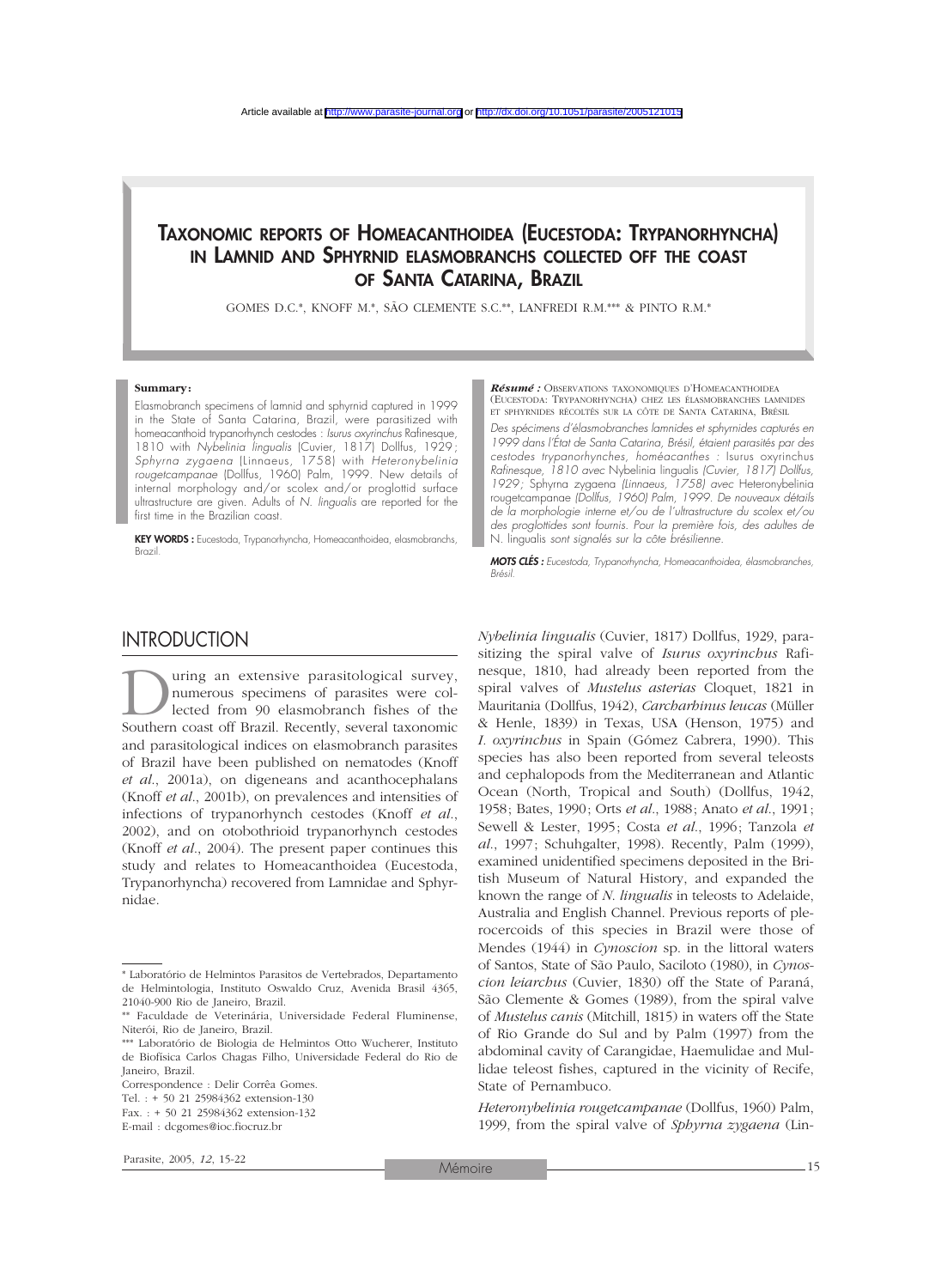# TAXONOMIC REPORTS OF HOMEACANTHOIDEA (EUCESTODA: TRYPANORHYNCHA) IN LAMNID AND SPHYRNID ELASMOBRANCHS COLLECTED OFF THE COAST OF SANTA CATARINA, BRAZIL

GOMES D.C.\*, KNOFF M.\*, SÃO CLEMENTE S.C.\*\*, LANFREDI R.M.\*\*\* & PINTO R.M.\*

#### **Summary:**

Elasmobranch specimens of lamnid and sphyrnid captured in 1999 in the State of Santa Catarina, Brazil, were parasitized with homeacanthoid trypanorhynch cestodes : *Isurus oxyrinchus* Rafinesque, 1810 with *Nybelinia lingualis* (Cuvier, 1817) Dollfus, 1929; *Sphyrna zygaena* (Linnaeus, 1758) with *Heteronybelinia rougetcampanae* (Dollfus, 1960) Palm, 1999. New details of internal morphology and/or scolex and/or proglottid surface ultrastructure are given. Adults of *N. lingualis* are reported for the first time in the Brazilian coast.

KEY WORDS : Eucestoda, Trypanorhyncha, Homeacanthoidea, elasmobranchs, N. lingualis *sont signalés sur la côte brésilienne.* Brazil.

#### *Résumé :* OBSERVATIONS TAXONOMIQUES D'HOMEACANTHOIDEA (EUCESTODA: TRYPANORHYNCHA) CHEZ LES ÉLASMOBRANCHES LAMNIDES ET SPHYRNIDES RÉCOLTÉS SUR LA CÔTE DE SANTA CATARINA, BRÉSIL

*Des spécimens d'élasmobranches lamnides et sphyrnides capturés en 1999 dans l'État de Santa Catarina, Brésil, étaient parasités par des cestodes trypanorhynches, homéacanthes :* Isurus oxyrinchus *Rafinesque, 1810 avec* Nybelinia lingualis *(Cuvier, 1817) Dollfus, 1929;* Sphyrna zygaena *(Linnaeus, 1758) avec* Heteronybelinia rougetcampanae *(Dollfus, 1960) Palm, 1999. De nouveaux détails de la morphologie interne et/ou de l´ultrastructure du scolex et/ou des proglottides sont fournis. Pour la première fois, des adultes de*

*MOTS CLÉS : Eucestoda, Trypanorhyncha, Homeacanthoidea, élasmobranches, Brésil.*

### **INTRODUCTION**

Uning an extensive parasitological survey,<br>
numerous specimens of parasites were col-<br>
lected from 90 elasmobranch fishes of the<br>
Southern coast off Brazil. Recently, several taxonomic numerous specimens of parasites were collected from 90 elasmobranch fishes of the and parasitological indices on elasmobranch parasites of Brazil have been published on nematodes (Knoff *et al*., 2001a), on digeneans and acanthocephalans (Knoff *et al*., 2001b), on prevalences and intensities of infections of trypanorhynch cestodes (Knoff *et al*., 2002), and on otobothrioid trypanorhynch cestodes (Knoff *et al*., 2004). The present paper continues this study and relates to Homeacanthoidea (Eucestoda, Trypanorhyncha) recovered from Lamnidae and Sphyrnidae.

*Nybelinia lingualis* (Cuvier, 1817) Dollfus, 1929, parasitizing the spiral valve of *Isurus oxyrinchus* Rafinesque, 1810, had already been reported from the spiral valves of *Mustelus asterias* Cloquet, 1821 in Mauritania (Dollfus, 1942), *Carcharhinus leucas* (Müller & Henle, 1839) in Texas, USA (Henson, 1975) and *I. oxyrinchus* in Spain (Gómez Cabrera, 1990). This species has also been reported from several teleosts and cephalopods from the Mediterranean and Atlantic Ocean (North, Tropical and South) (Dollfus, 1942, 1958; Bates, 1990; Orts *et al*., 1988; Anato *et al*., 1991; Sewell & Lester, 1995; Costa *et al*., 1996; Tanzola *et al*., 1997; Schuhgalter, 1998). Recently, Palm (1999), examined unidentified specimens deposited in the British Museum of Natural History, and expanded the known the range of *N*. *lingualis* in teleosts to Adelaide, Australia and English Channel. Previous reports of plerocercoids of this species in Brazil were those of Mendes (1944) in *Cynoscion* sp. in the littoral waters of Santos, State of São Paulo, Saciloto (1980), in *Cynoscion leiarchus* (Cuvier, 1830) off the State of Paraná, São Clemente & Gomes (1989), from the spiral valve of *Mustelus canis* (Mitchill, 1815) in waters off the State of Rio Grande do Sul and by Palm (1997) from the abdominal cavity of Carangidae, Haemulidae and Mullidae teleost fishes, captured in the vicinity of Recife, State of Pernambuco.

*Heteronybelinia rougetcampanae* (Dollfus, 1960) Palm, 1999, from the spiral valve of *Sphyrna zygaena* (Lin-

<sup>\*</sup> Laboratório de Helmintos Parasitos de Vertebrados, Departamento de Helmintologia, Instituto Oswaldo Cruz, Avenida Brasil 4365, 21040-900 Rio de Janeiro, Brazil.

<sup>\*\*</sup> Faculdade de Veterinária, Universidade Federal Fluminense, Niterói, Rio de Janeiro, Brazil.

<sup>\*\*\*</sup> Laboratório de Biologia de Helmintos Otto Wucherer, Instituto de Biofísica Carlos Chagas Filho, Universidade Federal do Rio de Janeiro, Brazil.

Correspondence : Delir Corrêa Gomes.

Tel. : + 50 21 25984362 extension-130

Fax. : + 50 21 25984362 extension-132

E-mail : dcgomes@ioc.fiocruz.br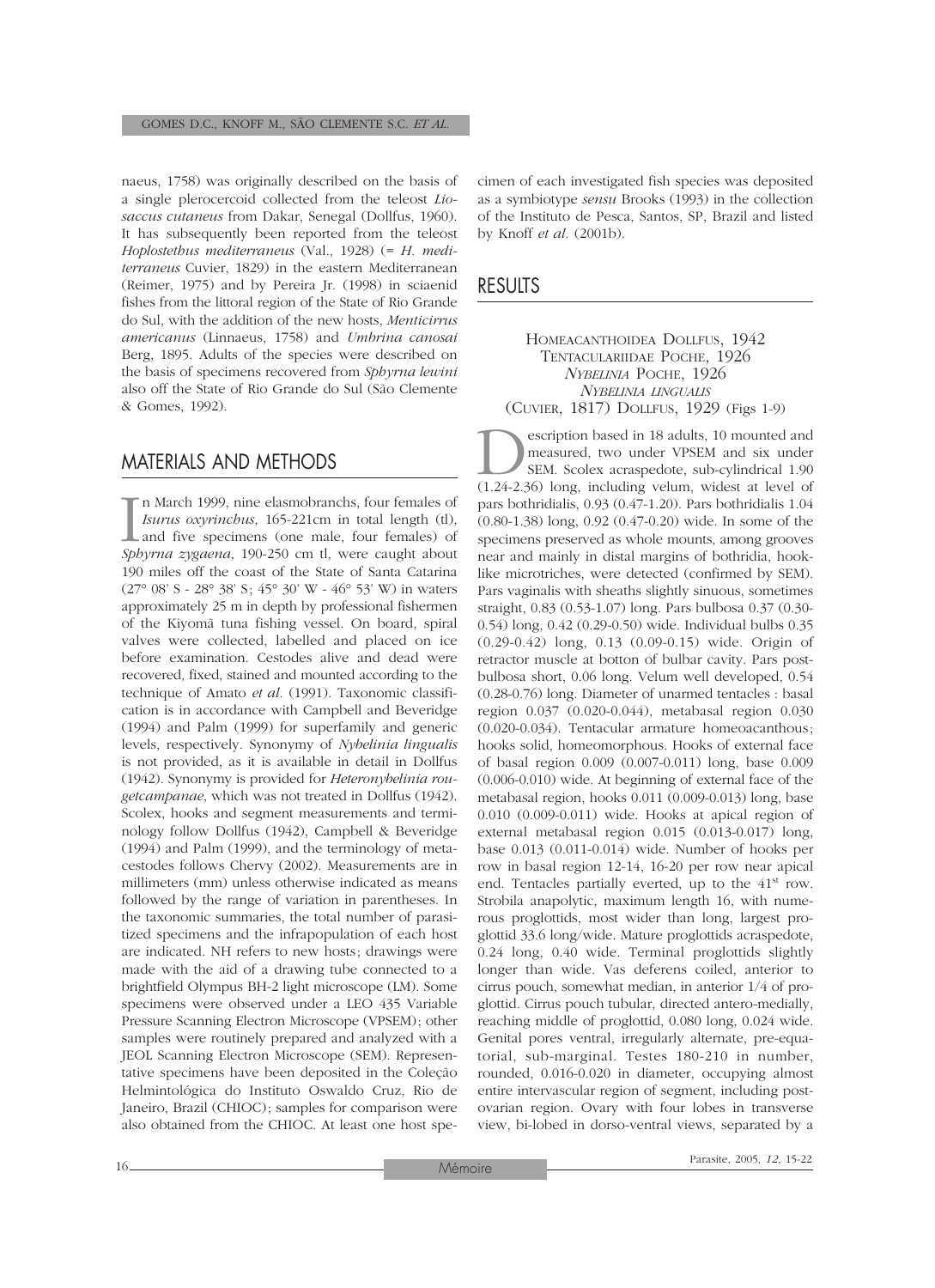naeus, 1758) was originally described on the basis of a single plerocercoid collected from the teleost *Liosaccus cutaneus* from Dakar, Senegal (Dollfus, 1960). It has subsequently been reported from the teleost *Hoplostethus mediterraneus* (Val., 1928) (= *H*. *mediterraneus* Cuvier, 1829) in the eastern Mediterranean (Reimer, 1975) and by Pereira Jr. (1998) in sciaenid fishes from the littoral region of the State of Rio Grande do Sul, with the addition of the new hosts, *Menticirrus americanus* (Linnaeus, 1758) and *Umbrina canosai* Berg, 1895. Adults of the species were described on the basis of specimens recovered from *Sphyrna lewini* also off the State of Rio Grande do Sul (São Clemente & Gomes, 1992).

### MATERIALS AND METHODS

 $\prod_{\textit{Sbb}}$ n March 1999, nine elasmobranchs, four females of *Isurus oxyrinchus*, 165-221cm in total length (tl), and five specimens (one male, four females) of *Sphyrna zygaena*, 190-250 cm tl, were caught about 190 miles off the coast of the State of Santa Catarina (27° 08' S - 28° 38' S; 45° 30' W - 46° 53' W) in waters approximately 25 m in depth by professional fishermen of the Kiyomã tuna fishing vessel. On board, spiral valves were collected, labelled and placed on ice before examination. Cestodes alive and dead were recovered, fixed, stained and mounted according to the technique of Amato *et al.* (1991). Taxonomic classification is in accordance with Campbell and Beveridge (1994) and Palm (1999) for superfamily and generic levels, respectively. Synonymy of *Nybelinia lingualis* is not provided, as it is available in detail in Dollfus (1942). Synonymy is provided for *Heteronybelinia rougetcampanae*, which was not treated in Dollfus (1942). Scolex, hooks and segment measurements and terminology follow Dollfus (1942), Campbell & Beveridge (1994) and Palm (1999), and the terminology of metacestodes follows Chervy (2002). Measurements are in millimeters (mm) unless otherwise indicated as means followed by the range of variation in parentheses. In the taxonomic summaries, the total number of parasitized specimens and the infrapopulation of each host are indicated. NH refers to new hosts; drawings were made with the aid of a drawing tube connected to a brightfield Olympus BH-2 light microscope (LM). Some specimens were observed under a LEO 435 Variable Pressure Scanning Electron Microscope (VPSEM); other samples were routinely prepared and analyzed with a JEOL Scanning Electron Microscope (SEM). Representative specimens have been deposited in the Coleção Helmintológica do Instituto Oswaldo Cruz, Rio de Janeiro, Brazil (CHIOC); samples for comparison were also obtained from the CHIOC. At least one host specimen of each investigated fish species was deposited as a symbiotype *sensu* Brooks (1993) in the collection of the Instituto de Pesca, Santos, SP, Brazil and listed by Knoff *et al.* (2001b).

### RESULTS

HOMEACANTHOIDEA DOLLFUS, 1942 TENTACULARIIDAE POCHE, 1926 *NYBELINIA* POCHE, 1926 *NYBELINIA LINGUALIS* (CUVIER, 1817) DOLLFUS, 1929 (Figs 1-9)

**Description based in 18 adults, 10 mounted and measured, two under VPSEM and six under SEM.** Scolex acraspedote, sub-cylindrical 1.90 (1.24-2.36) long, including velum, widest at level of measured, two under VPSEM and six under SEM. Scolex acraspedote, sub-cylindrical 1.90 pars bothridialis, 0.93 (0.47-1.20). Pars bothridialis 1.04 (0.80-1.38) long, 0.92 (0.47-0.20) wide. In some of the specimens preserved as whole mounts, among grooves near and mainly in distal margins of bothridia, hooklike microtriches, were detected (confirmed by SEM). Pars vaginalis with sheaths slightly sinuous, sometimes straight, 0.83 (0.53-1.07) long. Pars bulbosa 0.37 (0.30- 0.54) long, 0.42 (0.29-0.50) wide. Individual bulbs 0.35 (0.29-0.42) long, 0.13 (0.09-0.15) wide. Origin of retractor muscle at botton of bulbar cavity. Pars postbulbosa short, 0.06 long. Velum well developed, 0.54 (0.28-0.76) long. Diameter of unarmed tentacles : basal region 0.037 (0.020-0.044), metabasal region 0.030 (0.020-0.034). Tentacular armature homeoacanthous; hooks solid, homeomorphous. Hooks of external face of basal region 0.009 (0.007-0.011) long, base 0.009 (0.006-0.010) wide. At beginning of external face of the metabasal region, hooks 0.011 (0.009-0.013) long, base 0.010 (0.009-0.011) wide. Hooks at apical region of external metabasal region 0.015 (0.013-0.017) long, base 0.013 (0.011-0.014) wide. Number of hooks per row in basal region 12-14, 16-20 per row near apical end. Tentacles partially everted, up to the 41<sup>st</sup> row. Strobila anapolytic, maximum length 16, with numerous proglottids, most wider than long, largest proglottid 33.6 long/wide. Mature proglottids acraspedote, 0.24 long, 0.40 wide. Terminal proglottids slightly longer than wide. Vas deferens coiled, anterior to cirrus pouch, somewhat median, in anterior 1/4 of proglottid. Cirrus pouch tubular, directed antero-medially, reaching middle of proglottid, 0.080 long, 0.024 wide. Genital pores ventral, irregularly alternate, pre-equatorial, sub-marginal. Testes 180-210 in number, rounded, 0.016-0.020 in diameter, occupying almost entire intervascular region of segment, including postovarian region. Ovary with four lobes in transverse view, bi-lobed in dorso-ventral views, separated by a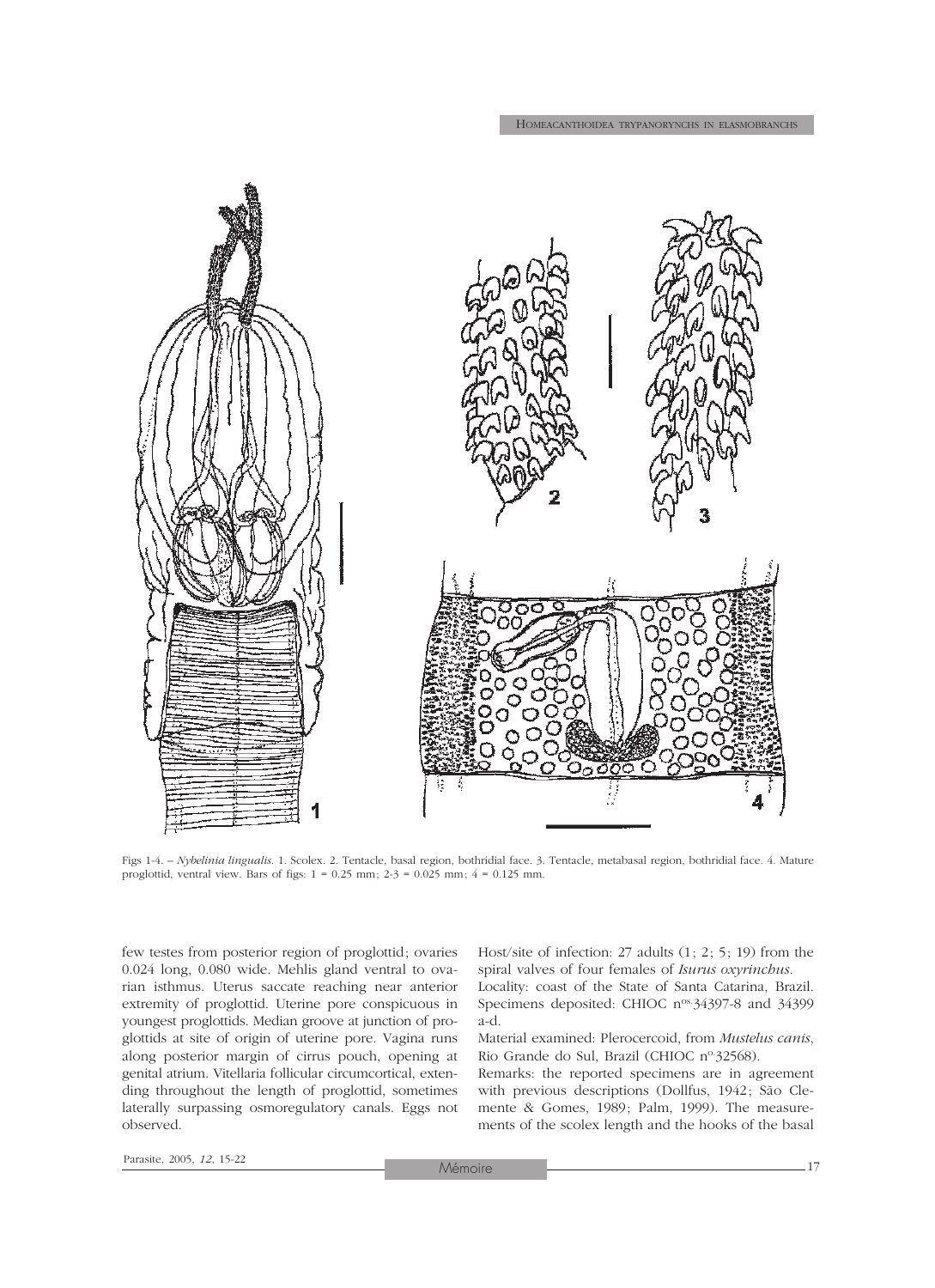

Figs 1-4. – *Nybelinia lingualis*. 1. Scolex. 2. Tentacle, basal region, bothridial face. 3. Tentacle, metabasal region, bothridial face. 4. Mature proglottid, ventral view. Bars of figs:  $1 = 0.25$  mm;  $2-3 = 0.025$  mm;  $4 = 0.125$  mm.

few testes from posterior region of proglottid; ovaries 0.024 long, 0.080 wide. Mehlis gland ventral to ovarian isthmus. Uterus saccate reaching near anterior extremity of proglottid. Uterine pore conspicuous in youngest proglottids. Median groove at junction of proglottids at site of origin of uterine pore. Vagina runs along posterior margin of cirrus pouch, opening at genital atrium. Vitellaria follicular circumcortical, extending throughout the length of proglottid, sometimes laterally surpassing osmoregulatory canals. Eggs not observed.

Host/site of infection: 27 adults (1; 2; 5; 19) from the spiral valves of four females of *Isurus oxyrinchus.* Locality: coast of the State of Santa Catarina, Brazil. Specimens deposited: CHIOC n<sup>os.</sup>34397-8 and 34399 a-d.

Material examined: Plerocercoid, from *Mustelus canis*, Rio Grande do Sul, Brazil (CHIOC nº-32568).

Remarks: the reported specimens are in agreement with previous descriptions (Dollfus, 1942; São Clemente & Gomes, 1989; Palm, 1999). The measurements of the scolex length and the hooks of the basal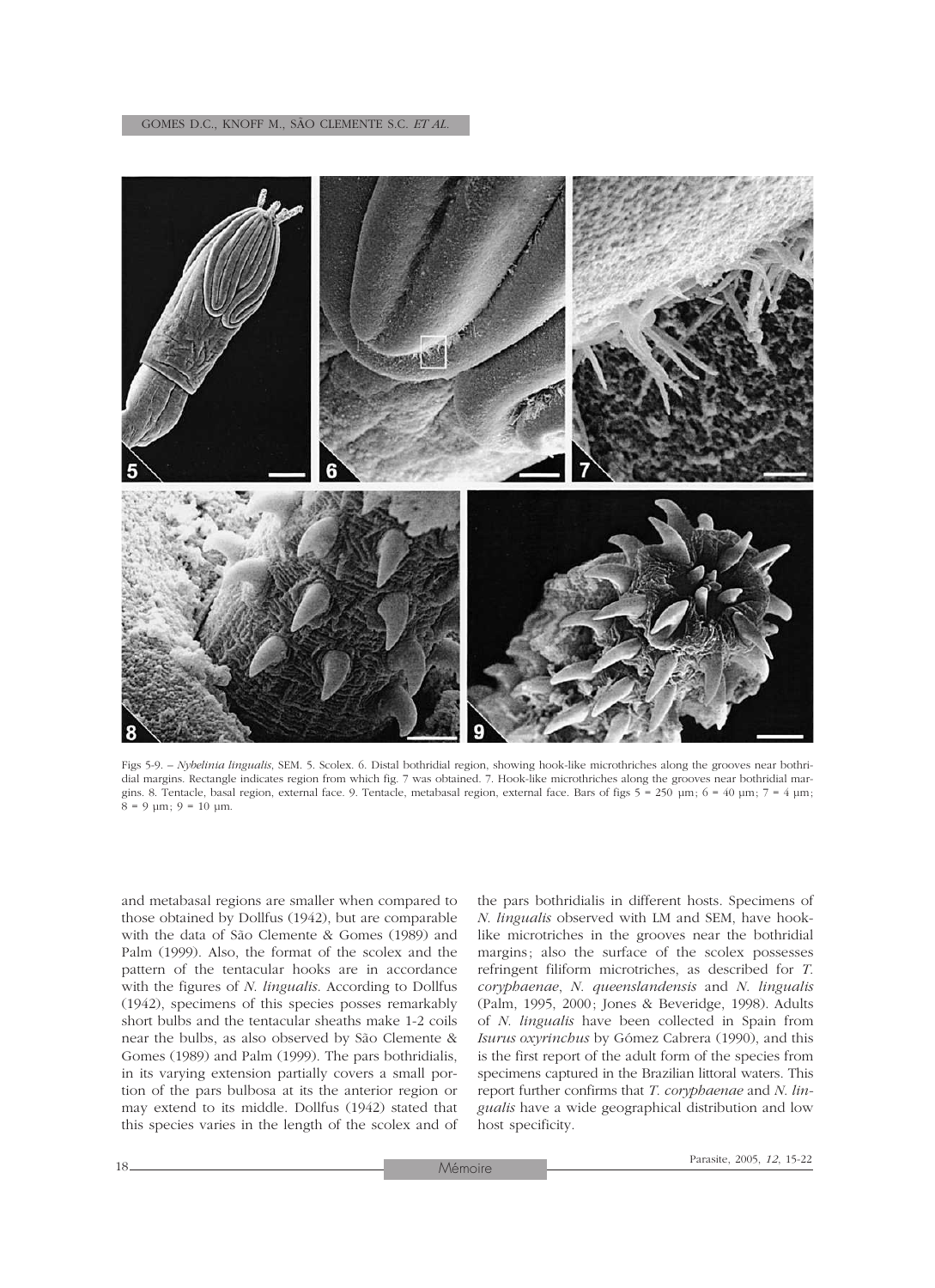

Figs 5-9. – *Nybelinia lingualis*, SEM. 5. Scolex. 6. Distal bothridial region, showing hook-like microthriches along the grooves near bothridial margins. Rectangle indicates region from which fig. 7 was obtained. 7. Hook-like microthriches along the grooves near bothridial margins. 8. Tentacle, basal region, external face. 9. Tentacle, metabasal region, external face. Bars of figs  $5 = 250 \text{ µm}$ ;  $6 = 40 \text{ µm}$ ;  $7 = 4 \text{ µm}$ ;  $8 = 9 \text{ µm}; 9 = 10 \text{ µm}.$ 

and metabasal regions are smaller when compared to those obtained by Dollfus (1942), but are comparable with the data of São Clemente & Gomes (1989) and Palm (1999). Also, the format of the scolex and the pattern of the tentacular hooks are in accordance with the figures of *N*. *lingualis*. According to Dollfus (1942), specimens of this species posses remarkably short bulbs and the tentacular sheaths make 1-2 coils near the bulbs, as also observed by São Clemente & Gomes (1989) and Palm (1999). The pars bothridialis, in its varying extension partially covers a small portion of the pars bulbosa at its the anterior region or may extend to its middle. Dollfus (1942) stated that this species varies in the length of the scolex and of

the pars bothridialis in different hosts. Specimens of *N*. *lingualis* observed with LM and SEM, have hooklike microtriches in the grooves near the bothridial margins; also the surface of the scolex possesses refringent filiform microtriches, as described for *T*. *coryphaenae*, *N*. *queenslandensis* and *N*. *lingualis* (Palm, 1995, 2000; Jones & Beveridge, 1998). Adults of *N*. *lingualis* have been collected in Spain from *Isurus oxyrinchus* by Gómez Cabrera (1990), and this is the first report of the adult form of the species from specimens captured in the Brazilian littoral waters. This report further confirms that *T*. *coryphaenae* and *N*. *lingualis* have a wide geographical distribution and low host specificity.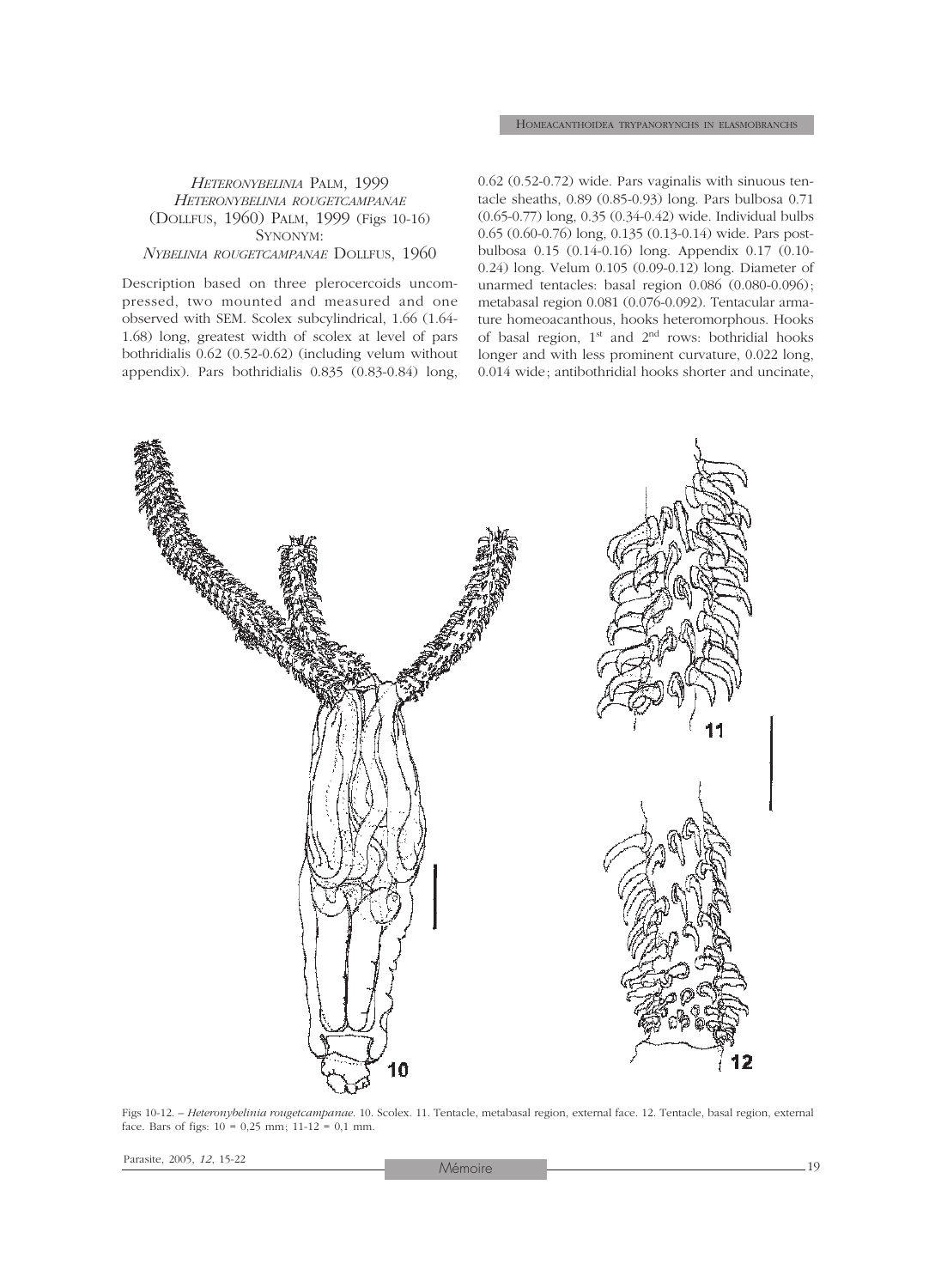#### *HETERONYBELINIA* PALM, 1999 *HETERONYBELINIA ROUGETCAMPANAE* (DOLLFUS, 1960) PALM, 1999 (Figs 10-16) SYNONYM: *NYBELINIA ROUGETCAMPANAE* DOLLFUS, 1960

Description based on three plerocercoids uncompressed, two mounted and measured and one observed with SEM. Scolex subcylindrical, 1.66 (1.64- 1.68) long, greatest width of scolex at level of pars bothridialis 0.62 (0.52-0.62) (including velum without appendix). Pars bothridialis 0.835 (0.83-0.84) long,

0.62 (0.52-0.72) wide. Pars vaginalis with sinuous tentacle sheaths, 0.89 (0.85-0.93) long. Pars bulbosa 0.71 (0.65-0.77) long, 0.35 (0.34-0.42) wide. Individual bulbs 0.65 (0.60-0.76) long, 0.135 (0.13-0.14) wide. Pars postbulbosa 0.15 (0.14-0.16) long. Appendix 0.17 (0.10- 0.24) long. Velum 0.105 (0.09-0.12) long. Diameter of unarmed tentacles: basal region 0.086 (0.080-0.096); metabasal region 0.081 (0.076-0.092). Tentacular armature homeoacanthous, hooks heteromorphous. Hooks of basal region,  $1<sup>st</sup>$  and  $2<sup>nd</sup>$  rows: bothridial hooks longer and with less prominent curvature, 0.022 long, 0.014 wide; antibothridial hooks shorter and uncinate,



Figs 10-12. – *Heteronybelinia rougetcampanae*. 10. Scolex. 11. Tentacle, metabasal region, external face. 12. Tentacle, basal region, external face. Bars of figs:  $10 = 0.25$  mm;  $11-12 = 0.1$  mm.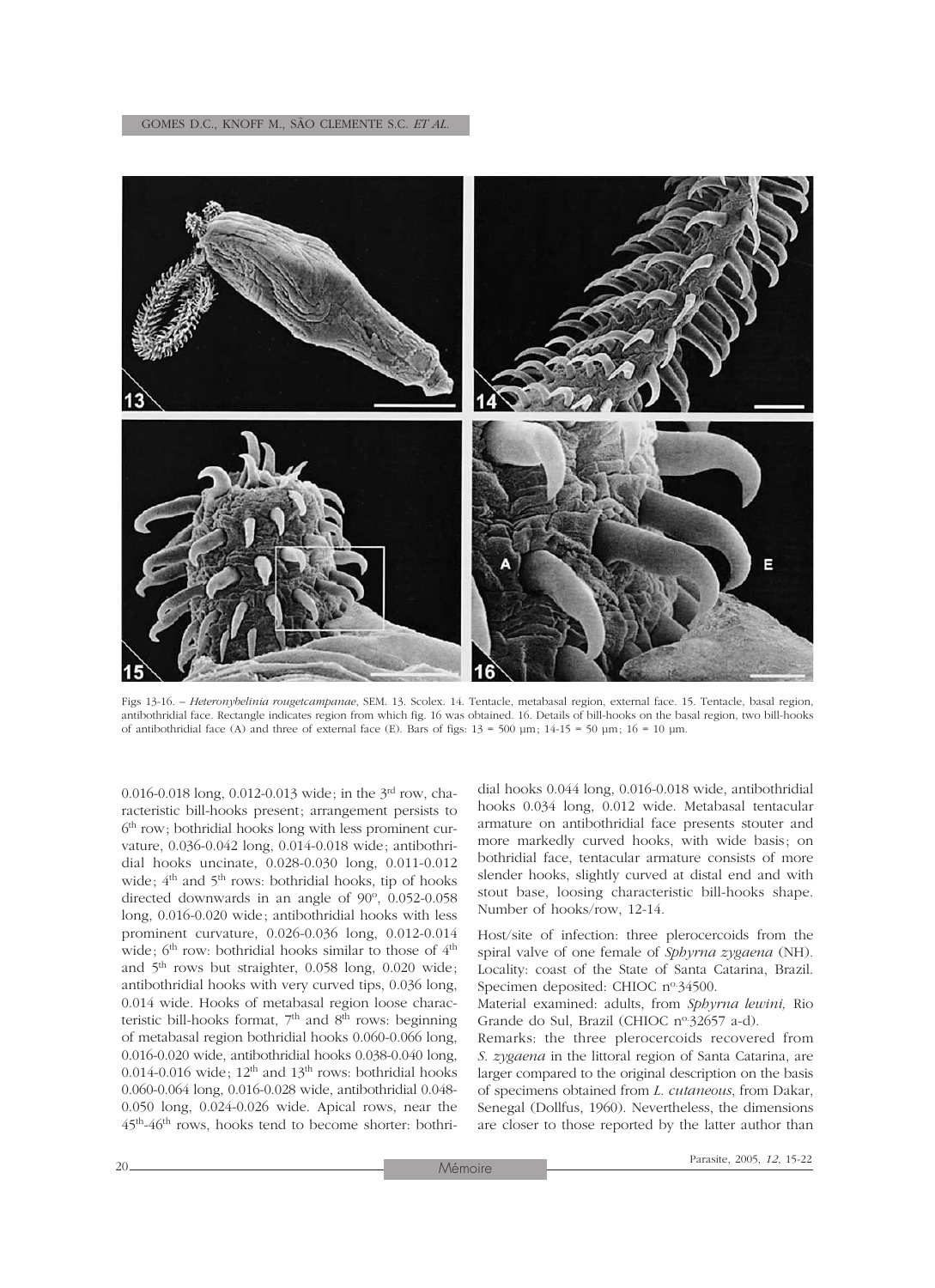

Figs 13-16. – *Heteronybelinia rougetcampanae*, SEM. 13. Scolex. 14. Tentacle, metabasal region, external face. 15. Tentacle, basal region, antibothridial face. Rectangle indicates region from which fig. 16 was obtained. 16. Details of bill-hooks on the basal region, two bill-hooks of antibothridial face (A) and three of external face (E). Bars of figs:  $13 = 500 \text{ µm}$ ;  $14-15 = 50 \text{ µm}$ ;  $16 = 10 \text{ µm}$ .

0.016-0.018 long, 0.012-0.013 wide; in the  $3^{\text{rd}}$  row, characteristic bill-hooks present; arrangement persists to  $6<sup>th</sup>$  row; bothridial hooks long with less prominent curvature, 0.036-0.042 long, 0.014-0.018 wide; antibothridial hooks uncinate, 0.028-0.030 long, 0.011-0.012 wide;  $4<sup>th</sup>$  and  $5<sup>th</sup>$  rows: bothridial hooks, tip of hooks directed downwards in an angle of  $90^\circ$ , 0.052-0.058 long, 0.016-0.020 wide; antibothridial hooks with less prominent curvature, 0.026-0.036 long, 0.012-0.014 wide; 6<sup>th</sup> row: bothridial hooks similar to those of 4<sup>th</sup> and 5th rows but straighter, 0.058 long, 0.020 wide; antibothridial hooks with very curved tips, 0.036 long, 0.014 wide. Hooks of metabasal region loose characteristic bill-hooks format, 7<sup>th</sup> and 8<sup>th</sup> rows: beginning of metabasal region bothridial hooks 0.060-0.066 long, 0.016-0.020 wide, antibothridial hooks 0.038-0.040 long, 0.014-0.016 wide;  $12<sup>th</sup>$  and  $13<sup>th</sup>$  rows: bothridial hooks 0.060-0.064 long, 0.016-0.028 wide, antibothridial 0.048- 0.050 long, 0.024-0.026 wide. Apical rows, near the 45th-46th rows, hooks tend to become shorter: bothri-

dial hooks 0.044 long, 0.016-0.018 wide, antibothridial hooks 0.034 long, 0.012 wide. Metabasal tentacular armature on antibothridial face presents stouter and more markedly curved hooks, with wide basis; on bothridial face, tentacular armature consists of more slender hooks, slightly curved at distal end and with stout base, loosing characteristic bill-hooks shape. Number of hooks/row, 12-14.

Host/site of infection: three plerocercoids from the spiral valve of one female of *Sphyrna zygaena* (NH)*.* Locality: coast of the State of Santa Catarina, Brazil. Specimen deposited: CHIOC nº34500.

Material examined: adults, from *Sphyrna lewini,* Rio Grande do Sul, Brazil (CHIOC nº 32657 a-d).

Remarks: the three plerocercoids recovered from *S*. *zygaena* in the littoral region of Santa Catarina, are larger compared to the original description on the basis of specimens obtained from *L*. *cutaneous*, from Dakar, Senegal (Dollfus, 1960). Nevertheless, the dimensions are closer to those reported by the latter author than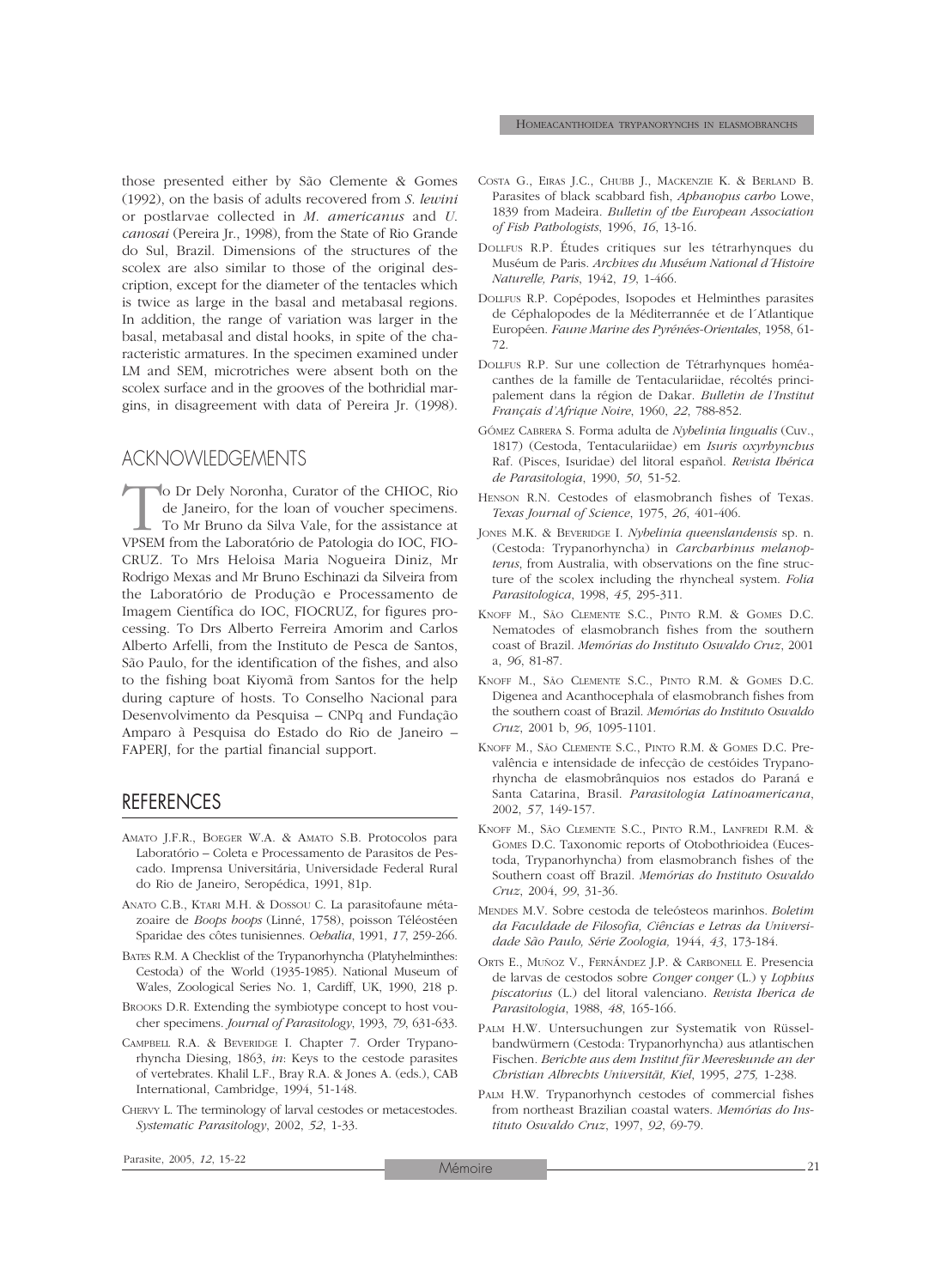those presented either by São Clemente & Gomes (1992), on the basis of adults recovered from *S*. *lewini* or postlarvae collected in *M*. *americanus* and *U*. *canosai* (Pereira Jr., 1998), from the State of Rio Grande do Sul, Brazil. Dimensions of the structures of the scolex are also similar to those of the original description, except for the diameter of the tentacles which is twice as large in the basal and metabasal regions. In addition, the range of variation was larger in the basal, metabasal and distal hooks, in spite of the characteristic armatures. In the specimen examined under LM and SEM, microtriches were absent both on the scolex surface and in the grooves of the bothridial margins, in disagreement with data of Pereira Jr. (1998).

## ACKNOWLEDGEMENTS

To Dr Dely Noronha, Curator of the CHIOC, Rio de Janeiro, for the loan of voucher specimens.<br>To Mr Bruno da Silva Vale, for the assistance at VPSEM from the Laboratório de Patologia do IOC, FIOde Janeiro, for the loan of voucher specimens. To Mr Bruno da Silva Vale, for the assistance at VPSEM from the Laboratório de Patologia do IOC, FIO-CRUZ. To Mrs Heloisa Maria Nogueira Diniz, Mr Rodrigo Mexas and Mr Bruno Eschinazi da Silveira from the Laboratório de Produção e Processamento de Imagem Científica do IOC, FIOCRUZ, for figures processing. To Drs Alberto Ferreira Amorim and Carlos Alberto Arfelli, from the Instituto de Pesca de Santos, São Paulo, for the identification of the fishes, and also to the fishing boat Kiyomã from Santos for the help during capture of hosts. To Conselho Nacional para Desenvolvimento da Pesquisa – CNPq and Fundação Amparo à Pesquisa do Estado do Rio de Janeiro – FAPERJ, for the partial financial support.

#### REFERENCES

- AMATO J.F.R., BOEGER W.A. & AMATO S.B. Protocolos para Laboratório – Coleta e Processamento de Parasitos de Pescado. Imprensa Universitária, Universidade Federal Rural do Rio de Janeiro, Seropédica, 1991, 81p.
- ANATO C.B., KTARI M.H. & DOSSOU C. La parasitofaune métazoaire de *Boops boops* (Linné, 1758), poisson Téléostéen Sparidae des côtes tunisiennes. *Oebalia*, 1991, *17*, 259-266.
- BATES R.M. A Checklist of the Trypanorhyncha (Platyhelminthes: Cestoda) of the World (1935-1985). National Museum of Wales, Zoological Series No. 1, Cardiff, UK, 1990, 218 p.
- BROOKS D.R. Extending the symbiotype concept to host voucher specimens. *Journal of Parasitology*, 1993, *79*, 631-633.
- CAMPBELL R.A. & BEVERIDGE I. Chapter 7. Order Trypanorhyncha Diesing, 1863, *in*: Keys to the cestode parasites of vertebrates. Khalil L.F., Bray R.A. & Jones A. (eds.), CAB International, Cambridge, 1994, 51-148.
- CHERVY L. The terminology of larval cestodes or metacestodes. *Systematic Parasitology*, 2002, *52*, 1-33.
- COSTA G., EIRAS J.C., CHUBB J., MACKENZIE K. & BERLAND B. Parasites of black scabbard fish, *Aphanopus carbo* Lowe, 1839 from Madeira. *Bulletin of the European Association of Fish Pathologists*, 1996, *16*, 13-16.
- DOLLFUS R.P. Études critiques sur les tétrarhynques du Muséum de Paris. *Archives du Muséum National d´Histoire Naturelle, Paris*, 1942, *19*, 1-466.
- DOLLFUS R.P. Copépodes, Isopodes et Helminthes parasites de Céphalopodes de la Méditerrannée et de l´Atlantique Européen. *Faune Marine des Pyrénées-Orientales*, 1958, 61- 72.
- DOLLFUS R.P. Sur une collection de Tétrarhynques homéacanthes de la famille de Tentaculariidae, récoltés principalement dans la région de Dakar. *Bulletin de l'Institut Français d'Afrique Noire*, 1960, *22*, 788-852.
- GÓMEZ CABRERA S. Forma adulta de *Nybelinia lingualis* (Cuv., 1817) (Cestoda, Tentaculariidae) em *Isuris oxyrhynchus* Raf. (Pisces, Isuridae) del litoral español. *Revista Ibérica de Parasitologia*, 1990, *50*, 51-52.
- HENSON R.N. Cestodes of elasmobranch fishes of Texas. *Texas Journal of Science*, 1975, *26*, 401-406.
- JONES M.K. & BEVERIDGE I. *Nybelinia queenslandensis* sp. n. (Cestoda: Trypanorhyncha) in *Carcharhinus melanopterus*, from Australia, with observations on the fine structure of the scolex including the rhyncheal system. *Folia Parasitologica*, 1998, *45*, 295-311.
- KNOFF M., SÃO CLEMENTE S.C., PINTO R.M. & GOMES D.C. Nematodes of elasmobranch fishes from the southern coast of Brazil. *Memórias do Instituto Oswaldo Cruz*, 2001 a, *96*, 81-87.
- KNOFF M., SÃO CLEMENTE S.C., PINTO R.M. & GOMES D.C. Digenea and Acanthocephala of elasmobranch fishes from the southern coast of Brazil. *Memórias do Instituto Oswaldo Cruz*, 2001 b, *96*, 1095-1101.
- KNOFF M., SÃO CLEMENTE S.C., PINTO R.M. & GOMES D.C. Prevalência e intensidade de infecção de cestóides Trypanorhyncha de elasmobrânquios nos estados do Paraná e Santa Catarina, Brasil. *Parasitologia Latinoamericana*, 2002, *57*, 149-157.
- KNOFF M., SÃO CLEMENTE S.C., PINTO R.M., LANFREDI R.M. & GOMES D.C. Taxonomic reports of Otobothrioidea (Eucestoda, Trypanorhyncha) from elasmobranch fishes of the Southern coast off Brazil. *Memórias do Instituto Oswaldo Cruz*, 2004, *99*, 31-36.
- MENDES M.V. Sobre cestoda de teleósteos marinhos. *Boletim da Faculdade de Filosofia, Ciências e Letras da Universidade São Paulo, Série Zoologia,* 1944, *43*, 173-184.
- ORTS E., MUÑOZ V., FERNÁNDEZ J.P. & CARBONELL E. Presencia de larvas de cestodos sobre *Conger conger* (L.) y *Lophius piscatorius* (L.) del litoral valenciano. *Revista Iberica de Parasitologia*, 1988, *48*, 165-166.
- PALM H.W. Untersuchungen zur Systematik von Rüsselbandwürmern (Cestoda: Trypanorhyncha) aus atlantischen Fischen*. Berichte aus dem Institut für Meereskunde an der Christian Albrechts Universität, Kiel*, 1995, *275,* 1-238.
- PALM H.W. Trypanorhynch cestodes of commercial fishes from northeast Brazilian coastal waters. *Memórias do Instituto Oswaldo Cruz*, 1997, *92*, 69-79.